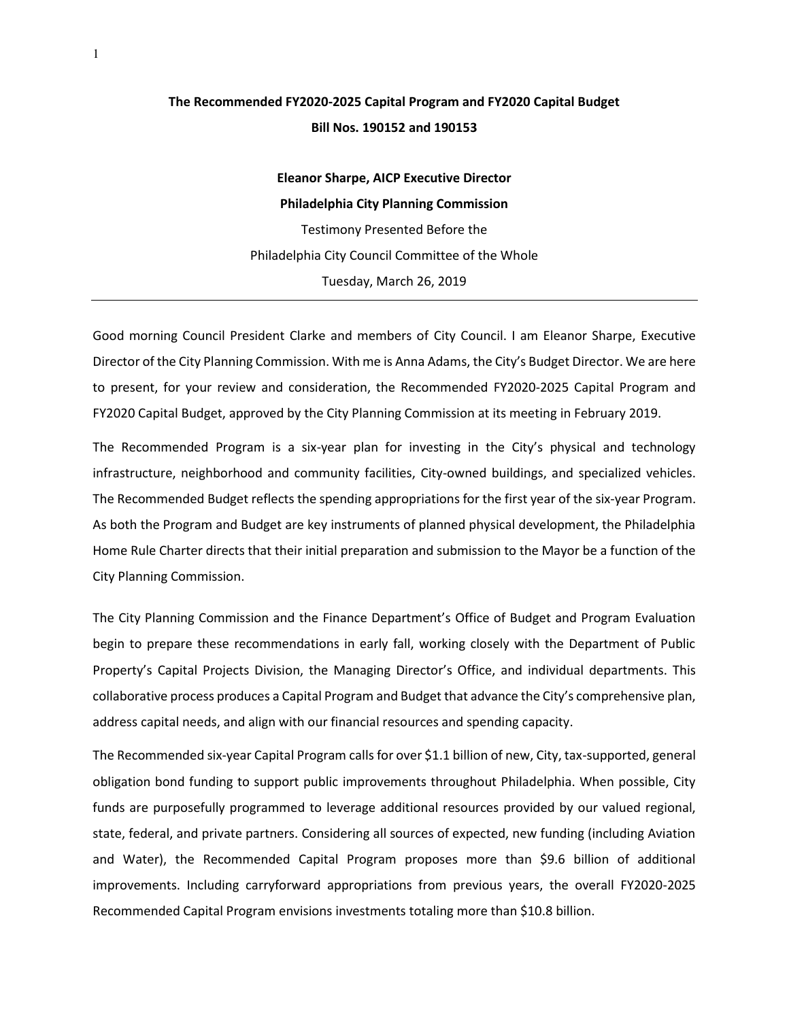## **The Recommended FY2020-2025 Capital Program and FY2020 Capital Budget Bill Nos. 190152 and 190153**

**Eleanor Sharpe, AICP Executive Director Philadelphia City Planning Commission** Testimony Presented Before the Philadelphia City Council Committee of the Whole Tuesday, March 26, 2019

Good morning Council President Clarke and members of City Council. I am Eleanor Sharpe, Executive Director of the City Planning Commission. With me is Anna Adams, the City's Budget Director. We are here to present, for your review and consideration, the Recommended FY2020-2025 Capital Program and FY2020 Capital Budget, approved by the City Planning Commission at its meeting in February 2019.

The Recommended Program is a six-year plan for investing in the City's physical and technology infrastructure, neighborhood and community facilities, City-owned buildings, and specialized vehicles. The Recommended Budget reflects the spending appropriations for the first year of the six-year Program. As both the Program and Budget are key instruments of planned physical development, the Philadelphia Home Rule Charter directs that their initial preparation and submission to the Mayor be a function of the City Planning Commission.

The City Planning Commission and the Finance Department's Office of Budget and Program Evaluation begin to prepare these recommendations in early fall, working closely with the Department of Public Property's Capital Projects Division, the Managing Director's Office, and individual departments. This collaborative process produces a Capital Program and Budget that advance the City's comprehensive plan, address capital needs, and align with our financial resources and spending capacity.

The Recommended six-year Capital Program calls for over \$1.1 billion of new, City, tax-supported, general obligation bond funding to support public improvements throughout Philadelphia. When possible, City funds are purposefully programmed to leverage additional resources provided by our valued regional, state, federal, and private partners. Considering all sources of expected, new funding (including Aviation and Water), the Recommended Capital Program proposes more than \$9.6 billion of additional improvements. Including carryforward appropriations from previous years, the overall FY2020-2025 Recommended Capital Program envisions investments totaling more than \$10.8 billion.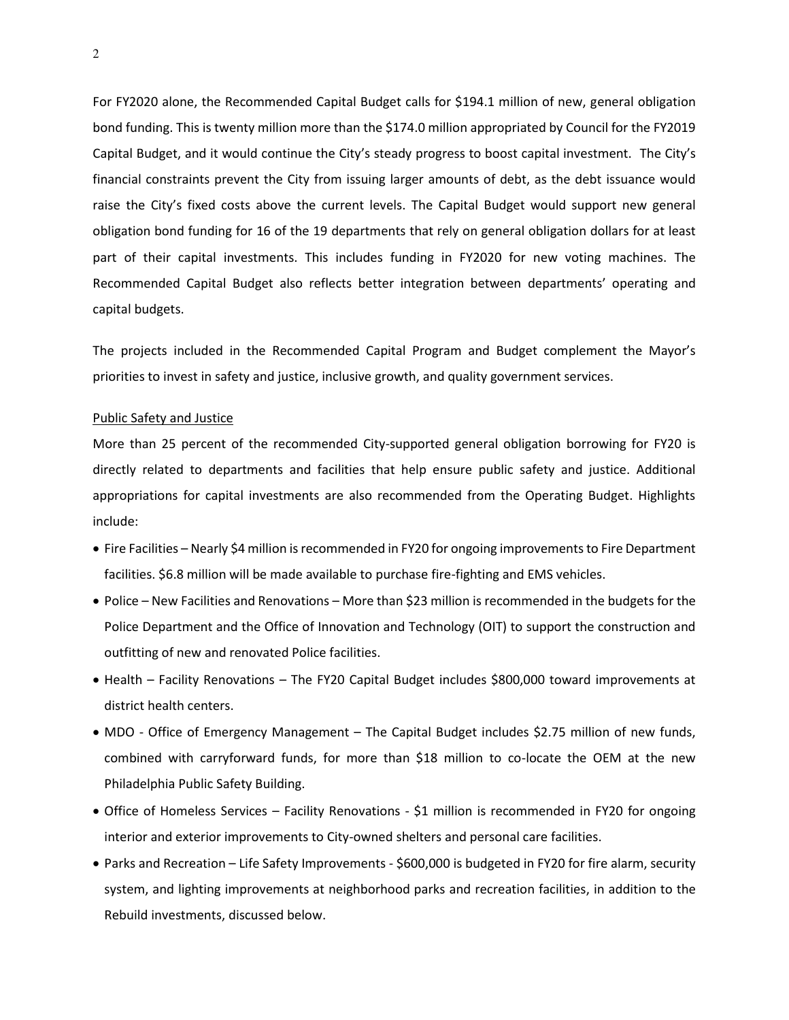For FY2020 alone, the Recommended Capital Budget calls for \$194.1 million of new, general obligation bond funding. This is twenty million more than the \$174.0 million appropriated by Council for the FY2019 Capital Budget, and it would continue the City's steady progress to boost capital investment. The City's financial constraints prevent the City from issuing larger amounts of debt, as the debt issuance would raise the City's fixed costs above the current levels. The Capital Budget would support new general obligation bond funding for 16 of the 19 departments that rely on general obligation dollars for at least part of their capital investments. This includes funding in FY2020 for new voting machines. The Recommended Capital Budget also reflects better integration between departments' operating and capital budgets.

The projects included in the Recommended Capital Program and Budget complement the Mayor's priorities to invest in safety and justice, inclusive growth, and quality government services.

## Public Safety and Justice

More than 25 percent of the recommended City-supported general obligation borrowing for FY20 is directly related to departments and facilities that help ensure public safety and justice. Additional appropriations for capital investments are also recommended from the Operating Budget. Highlights include:

- Fire Facilities Nearly \$4 million is recommended in FY20 for ongoing improvements to Fire Department facilities. \$6.8 million will be made available to purchase fire-fighting and EMS vehicles.
- Police New Facilities and Renovations More than \$23 million is recommended in the budgets for the Police Department and the Office of Innovation and Technology (OIT) to support the construction and outfitting of new and renovated Police facilities.
- Health Facility Renovations The FY20 Capital Budget includes \$800,000 toward improvements at district health centers.
- MDO Office of Emergency Management The Capital Budget includes \$2.75 million of new funds, combined with carryforward funds, for more than \$18 million to co-locate the OEM at the new Philadelphia Public Safety Building.
- Office of Homeless Services Facility Renovations \$1 million is recommended in FY20 for ongoing interior and exterior improvements to City-owned shelters and personal care facilities.
- Parks and Recreation Life Safety Improvements \$600,000 is budgeted in FY20 for fire alarm, security system, and lighting improvements at neighborhood parks and recreation facilities, in addition to the Rebuild investments, discussed below.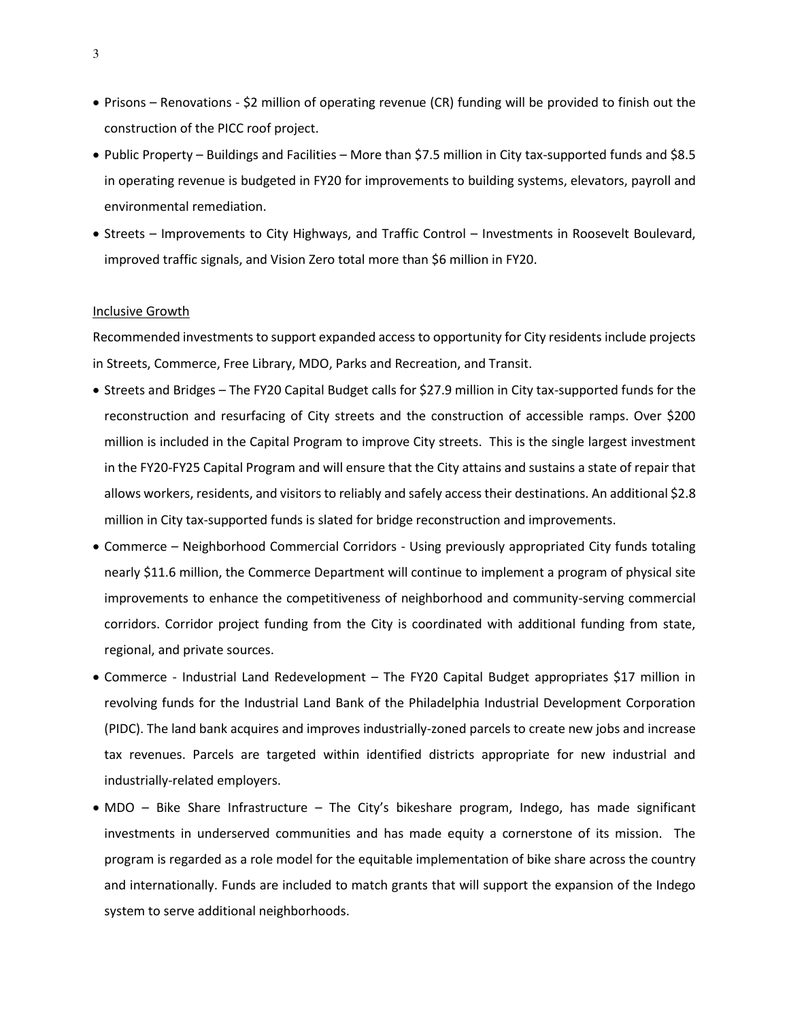- Prisons Renovations \$2 million of operating revenue (CR) funding will be provided to finish out the construction of the PICC roof project.
- Public Property Buildings and Facilities More than \$7.5 million in City tax-supported funds and \$8.5 in operating revenue is budgeted in FY20 for improvements to building systems, elevators, payroll and environmental remediation.
- Streets Improvements to City Highways, and Traffic Control Investments in Roosevelt Boulevard, improved traffic signals, and Vision Zero total more than \$6 million in FY20.

## Inclusive Growth

Recommended investments to support expanded access to opportunity for City residents include projects in Streets, Commerce, Free Library, MDO, Parks and Recreation, and Transit.

- Streets and Bridges The FY20 Capital Budget calls for \$27.9 million in City tax-supported funds for the reconstruction and resurfacing of City streets and the construction of accessible ramps. Over \$200 million is included in the Capital Program to improve City streets. This is the single largest investment in the FY20-FY25 Capital Program and will ensure that the City attains and sustains a state of repair that allows workers, residents, and visitors to reliably and safely access their destinations. An additional \$2.8 million in City tax-supported funds is slated for bridge reconstruction and improvements.
- Commerce Neighborhood Commercial Corridors Using previously appropriated City funds totaling nearly \$11.6 million, the Commerce Department will continue to implement a program of physical site improvements to enhance the competitiveness of neighborhood and community-serving commercial corridors. Corridor project funding from the City is coordinated with additional funding from state, regional, and private sources.
- Commerce Industrial Land Redevelopment The FY20 Capital Budget appropriates \$17 million in revolving funds for the Industrial Land Bank of the Philadelphia Industrial Development Corporation (PIDC). The land bank acquires and improves industrially-zoned parcels to create new jobs and increase tax revenues. Parcels are targeted within identified districts appropriate for new industrial and industrially-related employers.
- MDO Bike Share Infrastructure The City's bikeshare program, Indego, has made significant investments in underserved communities and has made equity a cornerstone of its mission. The program is regarded as a role model for the equitable implementation of bike share across the country and internationally. Funds are included to match grants that will support the expansion of the Indego system to serve additional neighborhoods.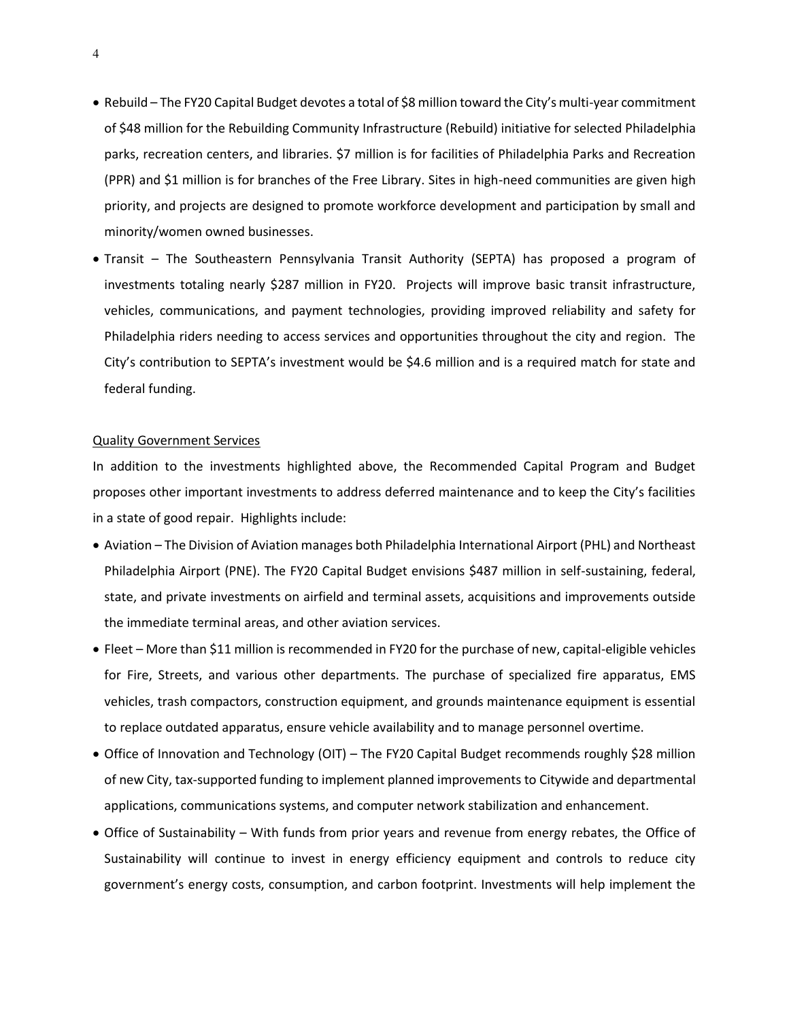- Rebuild The FY20 Capital Budget devotes a total of \$8 million toward the City's multi-year commitment of \$48 million for the Rebuilding Community Infrastructure (Rebuild) initiative for selected Philadelphia parks, recreation centers, and libraries. \$7 million is for facilities of Philadelphia Parks and Recreation (PPR) and \$1 million is for branches of the Free Library. Sites in high-need communities are given high priority, and projects are designed to promote workforce development and participation by small and minority/women owned businesses.
- Transit The Southeastern Pennsylvania Transit Authority (SEPTA) has proposed a program of investments totaling nearly \$287 million in FY20. Projects will improve basic transit infrastructure, vehicles, communications, and payment technologies, providing improved reliability and safety for Philadelphia riders needing to access services and opportunities throughout the city and region. The City's contribution to SEPTA's investment would be \$4.6 million and is a required match for state and federal funding.

## Quality Government Services

In addition to the investments highlighted above, the Recommended Capital Program and Budget proposes other important investments to address deferred maintenance and to keep the City's facilities in a state of good repair. Highlights include:

- Aviation The Division of Aviation manages both Philadelphia International Airport (PHL) and Northeast Philadelphia Airport (PNE). The FY20 Capital Budget envisions \$487 million in self-sustaining, federal, state, and private investments on airfield and terminal assets, acquisitions and improvements outside the immediate terminal areas, and other aviation services.
- Fleet More than \$11 million is recommended in FY20 for the purchase of new, capital-eligible vehicles for Fire, Streets, and various other departments. The purchase of specialized fire apparatus, EMS vehicles, trash compactors, construction equipment, and grounds maintenance equipment is essential to replace outdated apparatus, ensure vehicle availability and to manage personnel overtime.
- Office of Innovation and Technology (OIT) The FY20 Capital Budget recommends roughly \$28 million of new City, tax-supported funding to implement planned improvements to Citywide and departmental applications, communications systems, and computer network stabilization and enhancement.
- Office of Sustainability With funds from prior years and revenue from energy rebates, the Office of Sustainability will continue to invest in energy efficiency equipment and controls to reduce city government's energy costs, consumption, and carbon footprint. Investments will help implement the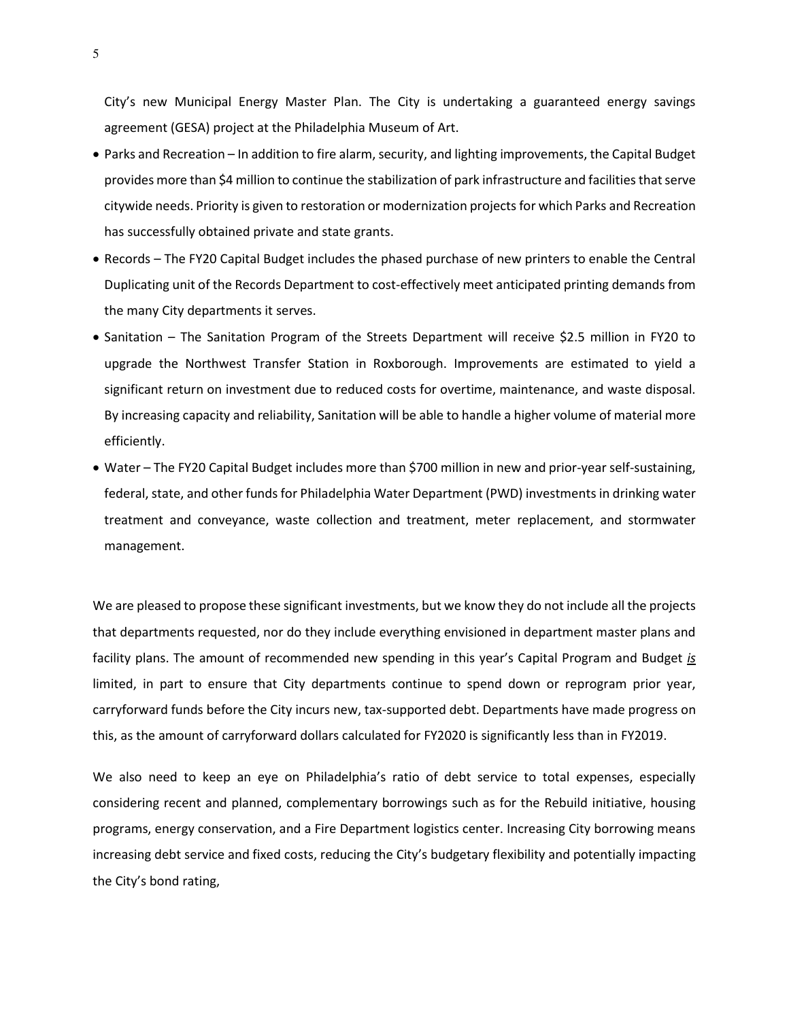City's new Municipal Energy Master Plan. The City is undertaking a guaranteed energy savings agreement (GESA) project at the Philadelphia Museum of Art.

- Parks and Recreation In addition to fire alarm, security, and lighting improvements, the Capital Budget provides more than \$4 million to continue the stabilization of park infrastructure and facilities that serve citywide needs. Priority is given to restoration or modernization projects for which Parks and Recreation has successfully obtained private and state grants.
- Records The FY20 Capital Budget includes the phased purchase of new printers to enable the Central Duplicating unit of the Records Department to cost-effectively meet anticipated printing demands from the many City departments it serves.
- Sanitation The Sanitation Program of the Streets Department will receive \$2.5 million in FY20 to upgrade the Northwest Transfer Station in Roxborough. Improvements are estimated to yield a significant return on investment due to reduced costs for overtime, maintenance, and waste disposal. By increasing capacity and reliability, Sanitation will be able to handle a higher volume of material more efficiently.
- Water The FY20 Capital Budget includes more than \$700 million in new and prior-year self-sustaining, federal, state, and other funds for Philadelphia Water Department (PWD) investments in drinking water treatment and conveyance, waste collection and treatment, meter replacement, and stormwater management.

We are pleased to propose these significant investments, but we know they do not include all the projects that departments requested, nor do they include everything envisioned in department master plans and facility plans. The amount of recommended new spending in this year's Capital Program and Budget *is* limited, in part to ensure that City departments continue to spend down or reprogram prior year, carryforward funds before the City incurs new, tax-supported debt. Departments have made progress on this, as the amount of carryforward dollars calculated for FY2020 is significantly less than in FY2019.

We also need to keep an eye on Philadelphia's ratio of debt service to total expenses, especially considering recent and planned, complementary borrowings such as for the Rebuild initiative, housing programs, energy conservation, and a Fire Department logistics center. Increasing City borrowing means increasing debt service and fixed costs, reducing the City's budgetary flexibility and potentially impacting the City's bond rating,